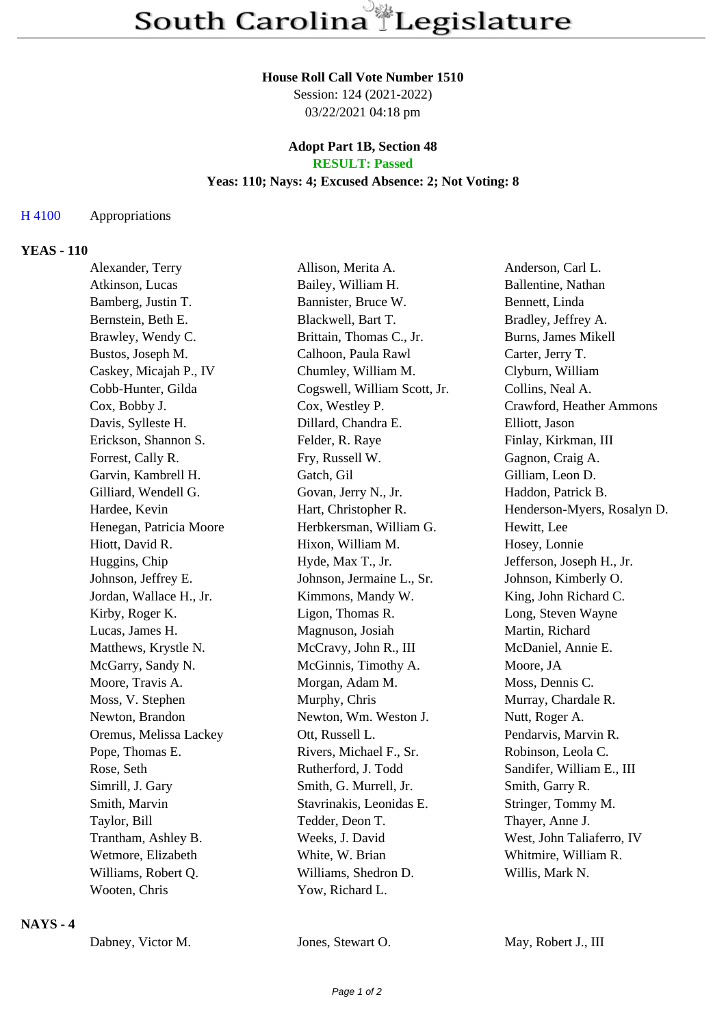#### **House Roll Call Vote Number 1510**

Session: 124 (2021-2022) 03/22/2021 04:18 pm

### **Adopt Part 1B, Section 48 RESULT: Passed**

### **Yeas: 110; Nays: 4; Excused Absence: 2; Not Voting: 8**

## H 4100 Appropriations

### **YEAS - 110**

| Alexander, Terry        | Allison, Merita A.           | Anderson, Carl L.           |
|-------------------------|------------------------------|-----------------------------|
| Atkinson, Lucas         | Bailey, William H.           | Ballentine, Nathan          |
| Bamberg, Justin T.      | Bannister, Bruce W.          | Bennett, Linda              |
| Bernstein, Beth E.      | Blackwell, Bart T.           | Bradley, Jeffrey A.         |
| Brawley, Wendy C.       | Brittain, Thomas C., Jr.     | Burns, James Mikell         |
| Bustos, Joseph M.       | Calhoon, Paula Rawl          | Carter, Jerry T.            |
| Caskey, Micajah P., IV  | Chumley, William M.          | Clyburn, William            |
| Cobb-Hunter, Gilda      | Cogswell, William Scott, Jr. | Collins, Neal A.            |
| Cox, Bobby J.           | Cox, Westley P.              | Crawford, Heather Ammons    |
| Davis, Sylleste H.      | Dillard, Chandra E.          | Elliott, Jason              |
| Erickson, Shannon S.    | Felder, R. Raye              | Finlay, Kirkman, III        |
| Forrest, Cally R.       | Fry, Russell W.              | Gagnon, Craig A.            |
| Garvin, Kambrell H.     | Gatch, Gil                   | Gilliam, Leon D.            |
| Gilliard, Wendell G.    | Govan, Jerry N., Jr.         | Haddon, Patrick B.          |
| Hardee, Kevin           | Hart, Christopher R.         | Henderson-Myers, Rosalyn D. |
| Henegan, Patricia Moore | Herbkersman, William G.      | Hewitt, Lee                 |
| Hiott, David R.         | Hixon, William M.            | Hosey, Lonnie               |
| Huggins, Chip           | Hyde, Max T., Jr.            | Jefferson, Joseph H., Jr.   |
| Johnson, Jeffrey E.     | Johnson, Jermaine L., Sr.    | Johnson, Kimberly O.        |
| Jordan, Wallace H., Jr. | Kimmons, Mandy W.            | King, John Richard C.       |
| Kirby, Roger K.         | Ligon, Thomas R.             | Long, Steven Wayne          |
| Lucas, James H.         | Magnuson, Josiah             | Martin, Richard             |
| Matthews, Krystle N.    | McCravy, John R., III        | McDaniel, Annie E.          |
| McGarry, Sandy N.       | McGinnis, Timothy A.         | Moore, JA                   |
| Moore, Travis A.        | Morgan, Adam M.              | Moss, Dennis C.             |
| Moss, V. Stephen        | Murphy, Chris                | Murray, Chardale R.         |
| Newton, Brandon         | Newton, Wm. Weston J.        | Nutt, Roger A.              |
| Oremus, Melissa Lackey  | Ott, Russell L.              | Pendarvis, Marvin R.        |
| Pope, Thomas E.         | Rivers, Michael F., Sr.      | Robinson, Leola C.          |
| Rose, Seth              | Rutherford, J. Todd          | Sandifer, William E., III   |
| Simrill, J. Gary        | Smith, G. Murrell, Jr.       | Smith, Garry R.             |
| Smith, Marvin           | Stavrinakis, Leonidas E.     | Stringer, Tommy M.          |
| Taylor, Bill            | Tedder, Deon T.              | Thayer, Anne J.             |
| Trantham, Ashley B.     | Weeks, J. David              | West, John Taliaferro, IV   |
| Wetmore, Elizabeth      | White, W. Brian              | Whitmire, William R.        |
| Williams, Robert Q.     | Williams, Shedron D.         | Willis, Mark N.             |
| Wooten, Chris           | Yow, Richard L.              |                             |
|                         |                              |                             |

### **NAYS - 4**

Dabney, Victor M. Jones, Stewart O. May, Robert J., III